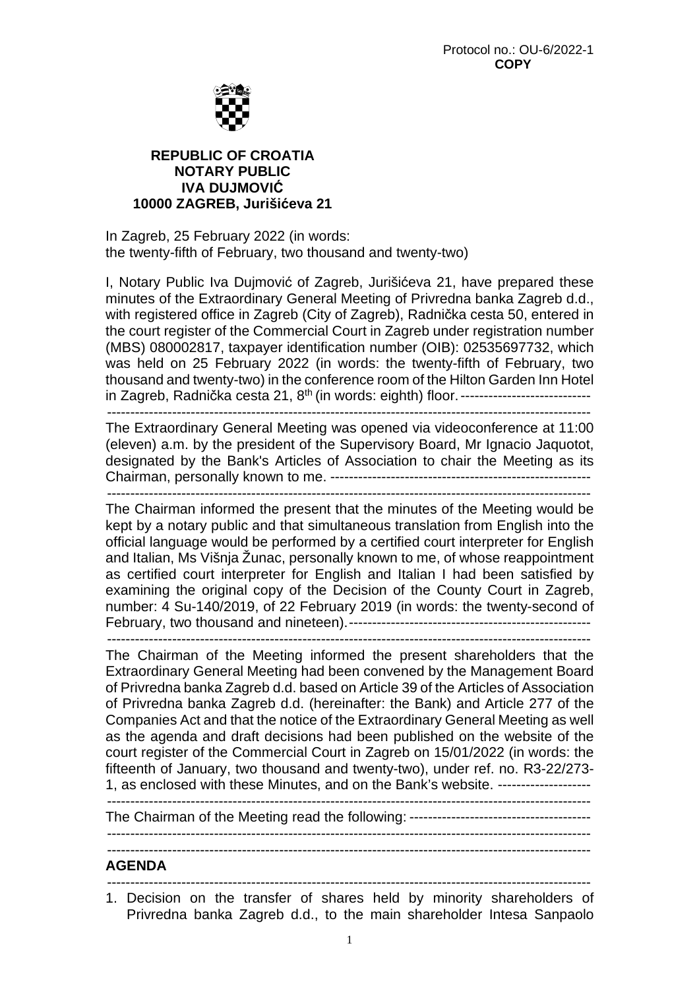

# **REPUBLIC OF CROATIA NOTARY PUBLIC IVA DUJMOVIĆ 10000 ZAGREB, Jurišićeva 21**

In Zagreb, 25 February 2022 (in words: the twenty-fifth of February, two thousand and twenty-two)

I, Notary Public Iva Dujmović of Zagreb, Jurišićeva 21, have prepared these minutes of the Extraordinary General Meeting of Privredna banka Zagreb d.d., with registered office in Zagreb (City of Zagreb), Radnička cesta 50, entered in the court register of the Commercial Court in Zagreb under registration number (MBS) 080002817, taxpayer identification number (OIB): 02535697732, which was held on 25 February 2022 (in words: the twenty-fifth of February, two thousand and twenty-two) in the conference room of the Hilton Garden Inn Hotel in Zagreb, Radnička cesta 21, 8th (in words: eighth) floor. ----------------------------

--------------------------------------------------------------------------------------------------------

The Extraordinary General Meeting was opened via videoconference at 11:00 (eleven) a.m. by the president of the Supervisory Board, Mr Ignacio Jaquotot, designated by the Bank's Articles of Association to chair the Meeting as its Chairman, personally known to me. -------------------------------------------------------- --------------------------------------------------------------------------------------------------------

The Chairman informed the present that the minutes of the Meeting would be kept by a notary public and that simultaneous translation from English into the official language would be performed by a certified court interpreter for English and Italian, Ms Višnja Žunac, personally known to me, of whose reappointment as certified court interpreter for English and Italian I had been satisfied by examining the original copy of the Decision of the County Court in Zagreb, number: 4 Su-140/2019, of 22 February 2019 (in words: the twenty-second of February, two thousand and nineteen). ----------------------------------------------------

--------------------------------------------------------------------------------------------------------

The Chairman of the Meeting informed the present shareholders that the Extraordinary General Meeting had been convened by the Management Board of Privredna banka Zagreb d.d. based on Article 39 of the Articles of Association of Privredna banka Zagreb d.d. (hereinafter: the Bank) and Article 277 of the Companies Act and that the notice of the Extraordinary General Meeting as well as the agenda and draft decisions had been published on the website of the court register of the Commercial Court in Zagreb on 15/01/2022 (in words: the fifteenth of January, two thousand and twenty-two), under ref. no. R3-22/273- 1, as enclosed with these Minutes, and on the Bank's website. --------------------

--------------------------------------------------------------------------------------------------------

The Chairman of the Meeting read the following: ---------------------------------------

--------------------------------------------------------------------------------------------------------

#### **AGENDA**  --------------------------------------------------------------------------------------------------------

1. Decision on the transfer of shares held by minority shareholders of Privredna banka Zagreb d.d., to the main shareholder Intesa Sanpaolo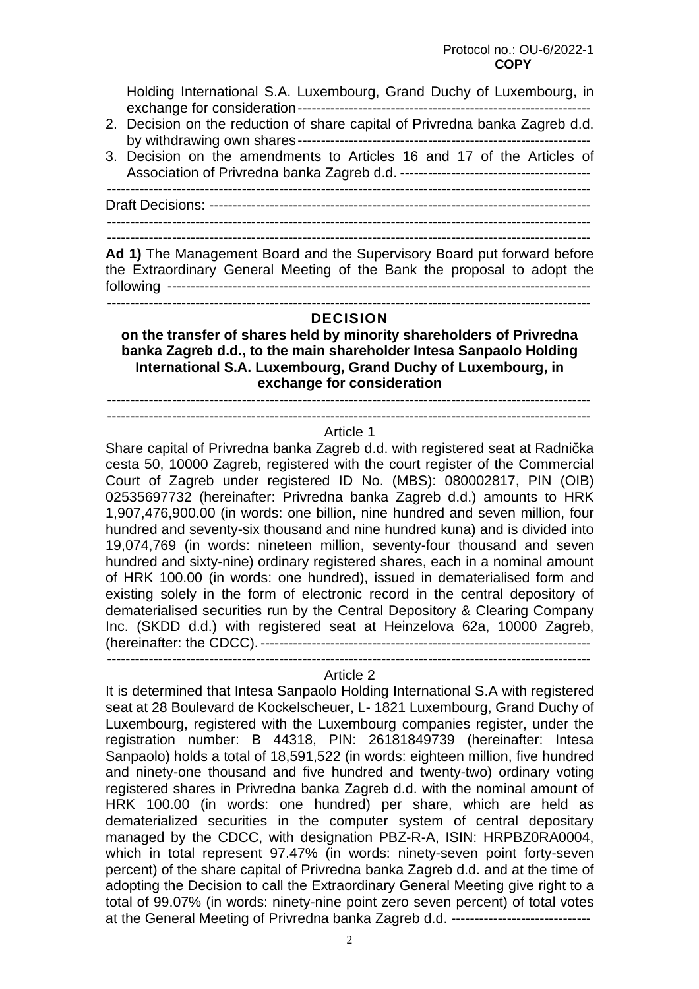### Protocol no.: OU-6/2022-1  *COPY* **COPY**

Holding International S.A. Luxembourg, Grand Duchy of Luxembourg, in exchange for consideration ---------------------------------------------------------------

- 2. Decision on the reduction of share capital of Privredna banka Zagreb d.d. by withdrawing own shares ---------------------------------------------------------------
- 3. Decision on the amendments to Articles 16 and 17 of the Articles of Association of Privredna banka Zagreb d.d. ----------------------------------------- --------------------------------------------------------------------------------------------------------

Draft Decisions: ----------------------------------------------------------------------------------

--------------------------------------------------------------------------------------------------------

--------------------------------------------------------------------------------------------------------

**Ad 1)** The Management Board and the Supervisory Board put forward before the Extraordinary General Meeting of the Bank the proposal to adopt the following -------------------------------------------------------------------------------------------

--------------------------------------------------------------------------------------------------------

# **DECISION**

**on the transfer of shares held by minority shareholders of Privredna banka Zagreb d.d., to the main shareholder Intesa Sanpaolo Holding International S.A. Luxembourg, Grand Duchy of Luxembourg, in exchange for consideration** 

 -------------------------------------------------------------------------------------------------------- --------------------------------------------------------------------------------------------------------

### Article 1

Share capital of Privredna banka Zagreb d.d. with registered seat at Radnička cesta 50, 10000 Zagreb, registered with the court register of the Commercial Court of Zagreb under registered ID No. (MBS): 080002817, PIN (OIB) 02535697732 (hereinafter: Privredna banka Zagreb d.d.) amounts to HRK 1,907,476,900.00 (in words: one billion, nine hundred and seven million, four hundred and seventy-six thousand and nine hundred kuna) and is divided into 19,074,769 (in words: nineteen million, seventy-four thousand and seven hundred and sixty-nine) ordinary registered shares, each in a nominal amount of HRK 100.00 (in words: one hundred), issued in dematerialised form and existing solely in the form of electronic record in the central depository of dematerialised securities run by the Central Depository & Clearing Company Inc. (SKDD d.d.) with registered seat at Heinzelova 62a, 10000 Zagreb, (hereinafter: the CDCC). -----------------------------------------------------------------------

# -------------------------------------------------------------------------------------------------------- Article 2

It is determined that Intesa Sanpaolo Holding International S.A with registered seat at 28 Boulevard de Kockelscheuer, L- 1821 Luxembourg, Grand Duchy of Luxembourg, registered with the Luxembourg companies register, under the registration number: B 44318, PIN: 26181849739 (hereinafter: Intesa Sanpaolo) holds a total of 18,591,522 (in words: eighteen million, five hundred and ninety-one thousand and five hundred and twenty-two) ordinary voting registered shares in Privredna banka Zagreb d.d. with the nominal amount of HRK 100.00 (in words: one hundred) per share, which are held as dematerialized securities in the computer system of central depositary managed by the CDCC, with designation PBZ-R-A, ISIN: HRPBZ0RA0004, which in total represent 97.47% (in words: ninety-seven point forty-seven percent) of the share capital of Privredna banka Zagreb d.d. and at the time of adopting the Decision to call the Extraordinary General Meeting give right to a total of 99.07% (in words: ninety-nine point zero seven percent) of total votes at the General Meeting of Privredna banka Zagreb d.d. ------------------------------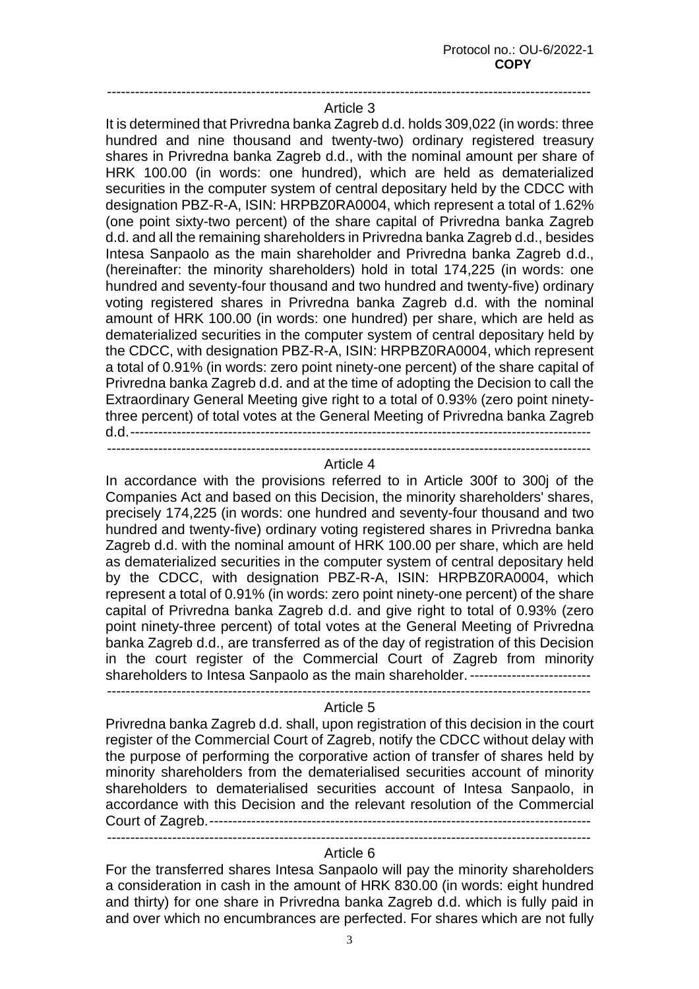## -------------------------------------------------------------------------------------------------------- Article 3

It is determined that Privredna banka Zagreb d.d. holds 309,022 (in words: three hundred and nine thousand and twenty-two) ordinary registered treasury shares in Privredna banka Zagreb d.d., with the nominal amount per share of HRK 100.00 (in words: one hundred), which are held as dematerialized securities in the computer system of central depositary held by the CDCC with designation PBZ-R-A, ISIN: HRPBZ0RA0004, which represent a total of 1.62% (one point sixty-two percent) of the share capital of Privredna banka Zagreb d.d. and all the remaining shareholders in Privredna banka Zagreb d.d., besides Intesa Sanpaolo as the main shareholder and Privredna banka Zagreb d.d., (hereinafter: the minority shareholders) hold in total 174,225 (in words: one hundred and seventy-four thousand and two hundred and twenty-five) ordinary voting registered shares in Privredna banka Zagreb d.d. with the nominal amount of HRK 100.00 (in words: one hundred) per share, which are held as dematerialized securities in the computer system of central depositary held by the CDCC, with designation PBZ-R-A, ISIN: HRPBZ0RA0004, which represent a total of 0.91% (in words: zero point ninety-one percent) of the share capital of Privredna banka Zagreb d.d. and at the time of adopting the Decision to call the Extraordinary General Meeting give right to a total of 0.93% (zero point ninetythree percent) of total votes at the General Meeting of Privredna banka Zagreb d.d. ---------------------------------------------------------------------------------------------------

--------------------------------------------------------------------------------------------------------

#### Article 4

In accordance with the provisions referred to in Article 300f to 300j of the Companies Act and based on this Decision, the minority shareholders' shares, precisely 174,225 (in words: one hundred and seventy-four thousand and two hundred and twenty-five) ordinary voting registered shares in Privredna banka Zagreb d.d. with the nominal amount of HRK 100.00 per share, which are held as dematerialized securities in the computer system of central depositary held by the CDCC, with designation PBZ-R-A, ISIN: HRPBZ0RA0004, which represent a total of 0.91% (in words: zero point ninety-one percent) of the share capital of Privredna banka Zagreb d.d. and give right to total of 0.93% (zero point ninety-three percent) of total votes at the General Meeting of Privredna banka Zagreb d.d., are transferred as of the day of registration of this Decision in the court register of the Commercial Court of Zagreb from minority shareholders to Intesa Sanpaolo as the main shareholder. ----------------------------

--------------------------------------------------------------------------------------------------------

### Article 5

Privredna banka Zagreb d.d. shall, upon registration of this decision in the court register of the Commercial Court of Zagreb, notify the CDCC without delay with the purpose of performing the corporative action of transfer of shares held by minority shareholders from the dematerialised securities account of minority shareholders to dematerialised securities account of Intesa Sanpaolo, in accordance with this Decision and the relevant resolution of the Commercial Court of Zagreb. ----------------------------------------------------------------------------------

--------------------------------------------------------------------------------------------------------

# Article 6

For the transferred shares Intesa Sanpaolo will pay the minority shareholders a consideration in cash in the amount of HRK 830.00 (in words: eight hundred and thirty) for one share in Privredna banka Zagreb d.d. which is fully paid in and over which no encumbrances are perfected. For shares which are not fully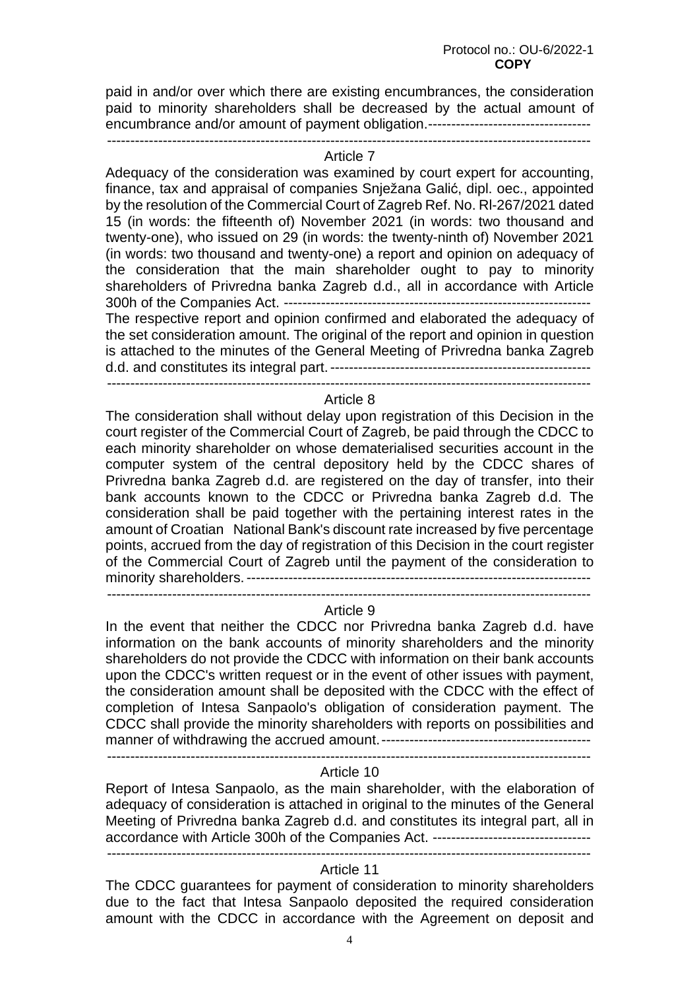paid in and/or over which there are existing encumbrances, the consideration paid to minority shareholders shall be decreased by the actual amount of encumbrance and/or amount of payment obligation.------------------------------------------------------------------------------------------------------------------------------------------

#### Article 7

Adequacy of the consideration was examined by court expert for accounting, finance, tax and appraisal of companies Snježana Galić, dipl. oec., appointed by the resolution of the Commercial Court of Zagreb Ref. No. Rl-267/2021 dated 15 (in words: the fifteenth of) November 2021 (in words: two thousand and twenty-one), who issued on 29 (in words: the twenty-ninth of) November 2021 (in words: two thousand and twenty-one) a report and opinion on adequacy of the consideration that the main shareholder ought to pay to minority shareholders of Privredna banka Zagreb d.d., all in accordance with Article 300h of the Companies Act. ------------------------------------------------------------------ The respective report and opinion confirmed and elaborated the adequacy of the set consideration amount. The original of the report and opinion in question is attached to the minutes of the General Meeting of Privredna banka Zagreb d.d. and constitutes its integral part. --------------------------------------------------------

--------------------------------------------------------------------------------------------------------

#### Article 8

The consideration shall without delay upon registration of this Decision in the court register of the Commercial Court of Zagreb, be paid through the CDCC to each minority shareholder on whose dematerialised securities account in the computer system of the central depository held by the CDCC shares of Privredna banka Zagreb d.d. are registered on the day of transfer, into their bank accounts known to the CDCC or Privredna banka Zagreb d.d. The consideration shall be paid together with the pertaining interest rates in the amount of Croatian National Bank's discount rate increased by five percentage points, accrued from the day of registration of this Decision in the court register of the Commercial Court of Zagreb until the payment of the consideration to minority shareholders. --------------------------------------------------------------------------

--------------------------------------------------------------------------------------------------------

### Article 9

In the event that neither the CDCC nor Privredna banka Zagreb d.d. have information on the bank accounts of minority shareholders and the minority shareholders do not provide the CDCC with information on their bank accounts upon the CDCC's written request or in the event of other issues with payment, the consideration amount shall be deposited with the CDCC with the effect of completion of Intesa Sanpaolo's obligation of consideration payment. The CDCC shall provide the minority shareholders with reports on possibilities and manner of withdrawing the accrued amount. ---------------------------------------------

--------------------------------------------------------------------------------------------------------

#### Article 10

Report of Intesa Sanpaolo, as the main shareholder, with the elaboration of adequacy of consideration is attached in original to the minutes of the General Meeting of Privredna banka Zagreb d.d. and constitutes its integral part, all in accordance with Article 300h of the Companies Act. ---------------------------------- --------------------------------------------------------------------------------------------------------

### Article 11

The CDCC guarantees for payment of consideration to minority shareholders due to the fact that Intesa Sanpaolo deposited the required consideration amount with the CDCC in accordance with the Agreement on deposit and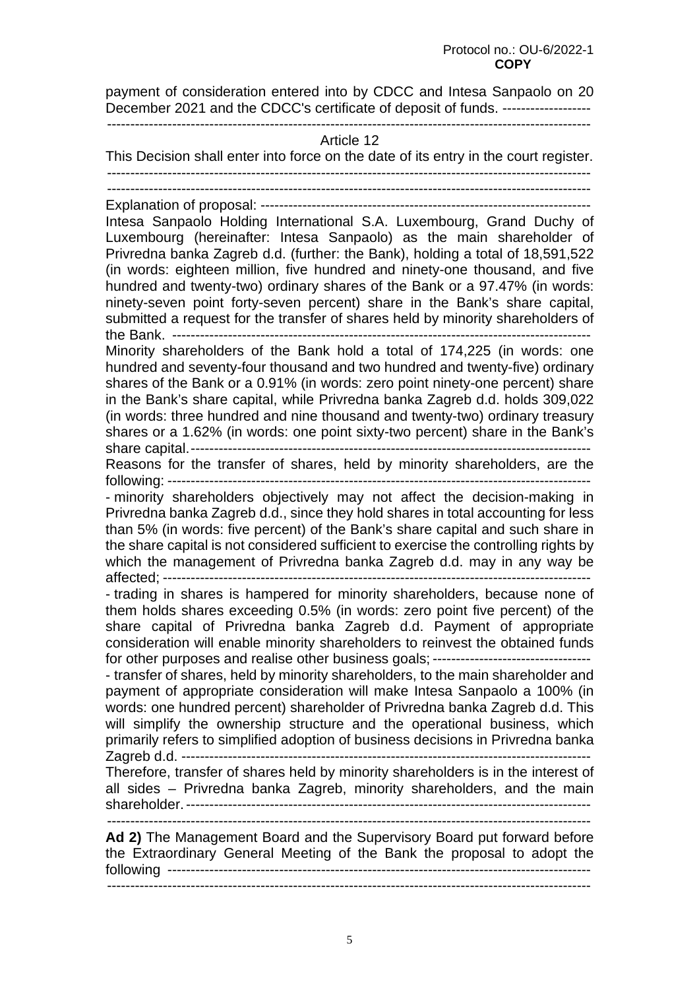payment of consideration entered into by CDCC and Intesa Sanpaolo on 20 December 2021 and the CDCC's certificate of deposit of funds. ---------------------------------------------------------------------------------------------------------------------------

#### Article 12

This Decision shall enter into force on the date of its entry in the court register. -------------------------------------------------------------------------------------------------------- -------------------------------------------------------------------------------------------------------- Explanation of proposal: ----------------------------------------------------------------------- Intesa Sanpaolo Holding International S.A. Luxembourg, Grand Duchy of Luxembourg (hereinafter: Intesa Sanpaolo) as the main shareholder of Privredna banka Zagreb d.d. (further: the Bank), holding a total of 18,591,522 (in words: eighteen million, five hundred and ninety-one thousand, and five hundred and twenty-two) ordinary shares of the Bank or a 97.47% (in words: ninety-seven point forty-seven percent) share in the Bank's share capital, submitted a request for the transfer of shares held by minority shareholders of the Bank. ------------------------------------------------------------------------------------------ Minority shareholders of the Bank hold a total of 174,225 (in words: one hundred and seventy-four thousand and two hundred and twenty-five) ordinary shares of the Bank or a 0.91% (in words: zero point ninety-one percent) share in the Bank's share capital, while Privredna banka Zagreb d.d. holds 309,022 (in words: three hundred and nine thousand and twenty-two) ordinary treasury shares or a 1.62% (in words: one point sixty-two percent) share in the Bank's share capital. -------------------------------------------------------------------------------------- Reasons for the transfer of shares, held by minority shareholders, are the following: ------------------------------------------------------------------------------------------- - minority shareholders objectively may not affect the decision-making in Privredna banka Zagreb d.d., since they hold shares in total accounting for less than 5% (in words: five percent) of the Bank's share capital and such share in the share capital is not considered sufficient to exercise the controlling rights by which the management of Privredna banka Zagreb d.d. may in any way be affected; -------------------------------------------------------------------------------------------- - trading in shares is hampered for minority shareholders, because none of them holds shares exceeding 0.5% (in words: zero point five percent) of the share capital of Privredna banka Zagreb d.d. Payment of appropriate consideration will enable minority shareholders to reinvest the obtained funds for other purposes and realise other business goals; ----------------------------------- transfer of shares, held by minority shareholders, to the main shareholder and payment of appropriate consideration will make Intesa Sanpaolo a 100% (in words: one hundred percent) shareholder of Privredna banka Zagreb d.d. This will simplify the ownership structure and the operational business, which primarily refers to simplified adoption of business decisions in Privredna banka Zagreb d.d. ---------------------------------------------------------------------------------------- Therefore, transfer of shares held by minority shareholders is in the interest of all sides – Privredna banka Zagreb, minority shareholders, and the main shareholder. --------------------------------------------------------------------------------------- -------------------------------------------------------------------------------------------------------- **Ad 2)** The Management Board and the Supervisory Board put forward before the Extraordinary General Meeting of the Bank the proposal to adopt the following ------------------------------------------------------------------------------------------- --------------------------------------------------------------------------------------------------------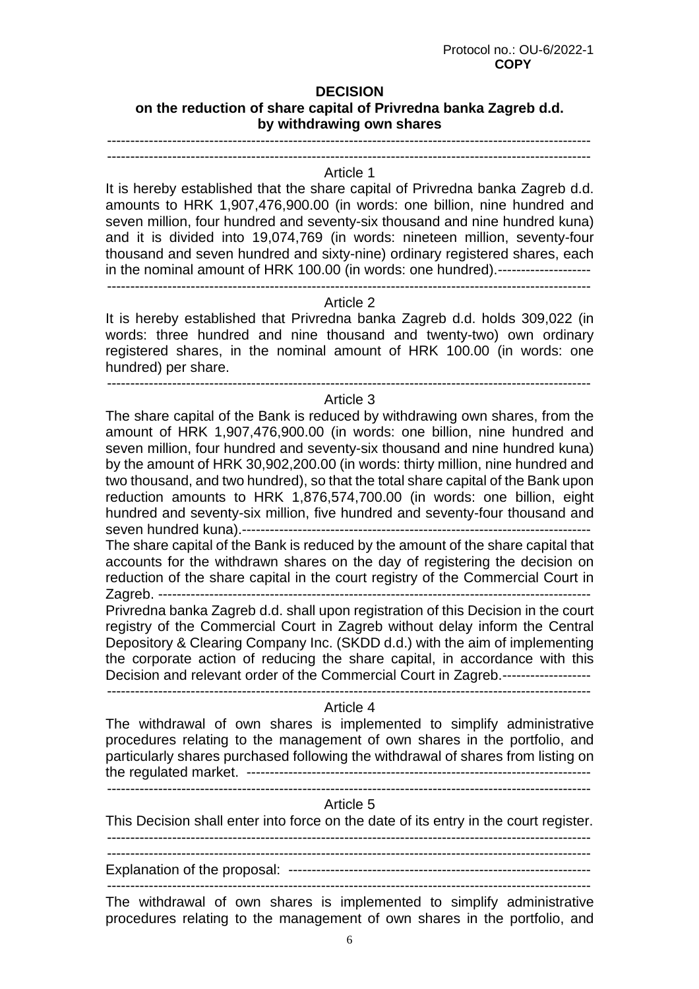# **DECISION**

# **on the reduction of share capital of Privredna banka Zagreb d.d. by withdrawing own shares**

 -------------------------------------------------------------------------------------------------------- --------------------------------------------------------------------------------------------------------

### Article 1

It is hereby established that the share capital of Privredna banka Zagreb d.d. amounts to HRK 1,907,476,900.00 (in words: one billion, nine hundred and seven million, four hundred and seventy-six thousand and nine hundred kuna) and it is divided into 19,074,769 (in words: nineteen million, seventy-four thousand and seven hundred and sixty-nine) ordinary registered shares, each in the nominal amount of HRK 100.00 (in words: one hundred). -------------------- --------------------------------------------------------------------------------------------------------

### Article 2

It is hereby established that Privredna banka Zagreb d.d. holds 309,022 (in words: three hundred and nine thousand and twenty-two) own ordinary registered shares, in the nominal amount of HRK 100.00 (in words: one hundred) per share.

--------------------------------------------------------------------------------------------------------

### Article 3

The share capital of the Bank is reduced by withdrawing own shares, from the amount of HRK 1,907,476,900.00 (in words: one billion, nine hundred and seven million, four hundred and seventy-six thousand and nine hundred kuna) by the amount of HRK 30,902,200.00 (in words: thirty million, nine hundred and two thousand, and two hundred), so that the total share capital of the Bank upon reduction amounts to HRK 1,876,574,700.00 (in words: one billion, eight hundred and seventy-six million, five hundred and seventy-four thousand and seven hundred kuna).---------------------------------------------------------------------------

The share capital of the Bank is reduced by the amount of the share capital that accounts for the withdrawn shares on the day of registering the decision on reduction of the share capital in the court registry of the Commercial Court in Zagreb. ---------------------------------------------------------------------------------------------

Privredna banka Zagreb d.d. shall upon registration of this Decision in the court registry of the Commercial Court in Zagreb without delay inform the Central Depository & Clearing Company Inc. (SKDD d.d.) with the aim of implementing the corporate action of reducing the share capital, in accordance with this Decision and relevant order of the Commercial Court in Zagreb. -------------------

--------------------------------------------------------------------------------------------------------

### Article 4

The withdrawal of own shares is implemented to simplify administrative procedures relating to the management of own shares in the portfolio, and particularly shares purchased following the withdrawal of shares from listing on the regulated market. -------------------------------------------------------------------------- --------------------------------------------------------------------------------------------------------

### Article 5

This Decision shall enter into force on the date of its entry in the court register. --------------------------------------------------------------------------------------------------------

--------------------------------------------------------------------------------------------------------

Explanation of the proposal: ----------------------------------------------------------------- --------------------------------------------------------------------------------------------------------

The withdrawal of own shares is implemented to simplify administrative procedures relating to the management of own shares in the portfolio, and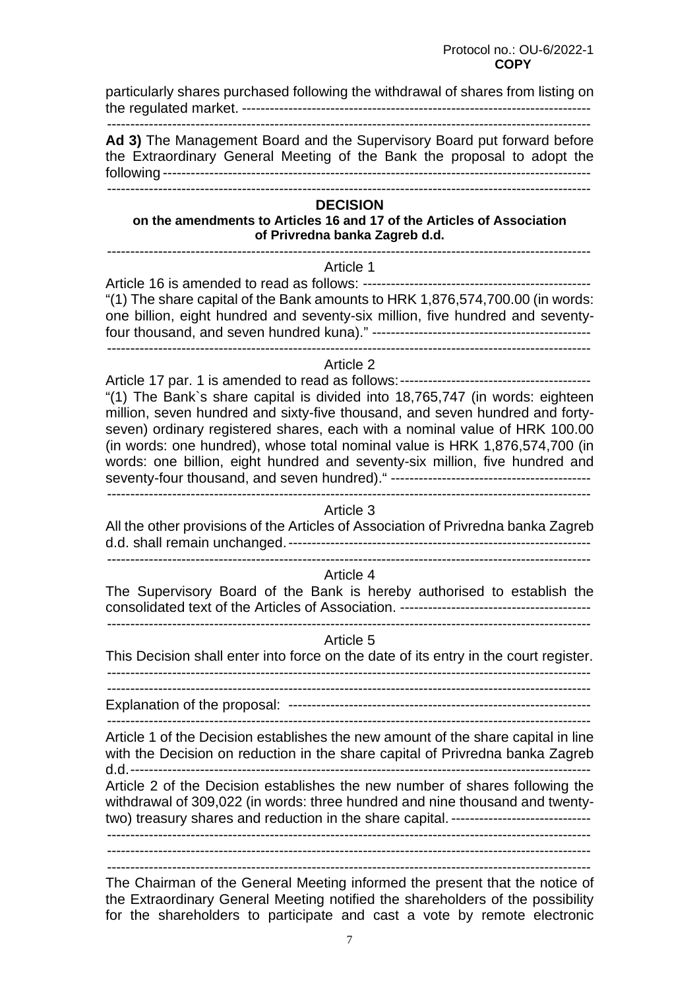Protocol no.: OU-6/2022-1  *COPY* **COPY** 

particularly shares purchased following the withdrawal of shares from listing on the regulated market. ---------------------------------------------------------------------------

--------------------------------------------------------------------------------------------------------

**Ad 3)** The Management Board and the Supervisory Board put forward before the Extraordinary General Meeting of the Bank the proposal to adopt the following -------------------------------------------------------------------------------------------- --------------------------------------------------------------------------------------------------------

### **DECISION**

#### **on the amendments to Articles 16 and 17 of the Articles of Association of Privredna banka Zagreb d.d.**

--------------------------------------------------------------------------------------------------------

# Article 1

Article 16 is amended to read as follows: ------------------------------------------------- "(1) The share capital of the Bank amounts to HRK 1,876,574,700.00 (in words: one billion, eight hundred and seventy-six million, five hundred and seventyfour thousand, and seven hundred kuna)." ----------------------------------------------- --------------------------------------------------------------------------------------------------------

### Article 2

Article 17 par. 1 is amended to read as follows: ----------------------------------------- "(1) The Bank`s share capital is divided into 18,765,747 (in words: eighteen million, seven hundred and sixty-five thousand, and seven hundred and fortyseven) ordinary registered shares, each with a nominal value of HRK 100.00 (in words: one hundred), whose total nominal value is HRK 1,876,574,700 (in words: one billion, eight hundred and seventy-six million, five hundred and seventy-four thousand, and seven hundred)." ------------------------------------------- --------------------------------------------------------------------------------------------------------

#### Article 3

All the other provisions of the Articles of Association of Privredna banka Zagreb d.d. shall remain unchanged. ----------------------------------------------------------------- --------------------------------------------------------------------------------------------------------

Article 4

The Supervisory Board of the Bank is hereby authorised to establish the consolidated text of the Articles of Association. ----------------------------------------- --------------------------------------------------------------------------------------------------------

#### Article 5

This Decision shall enter into force on the date of its entry in the court register. -------------------------------------------------------------------------------------------------------- --------------------------------------------------------------------------------------------------------

Explanation of the proposal: -----------------------------------------------------------------

 -------------------------------------------------------------------------------------------------------- Article 1 of the Decision establishes the new amount of the share capital in line with the Decision on reduction in the share capital of Privredna banka Zagreb

d.d. ---------------------------------------------------------------------------------------------------

Article 2 of the Decision establishes the new number of shares following the withdrawal of 309,022 (in words: three hundred and nine thousand and twentytwo) treasury shares and reduction in the share capital. ------------------------------

--------------------------------------------------------------------------------------------------------

--------------------------------------------------------------------------------------------------------

--------------------------------------------------------------------------------------------------------

The Chairman of the General Meeting informed the present that the notice of the Extraordinary General Meeting notified the shareholders of the possibility for the shareholders to participate and cast a vote by remote electronic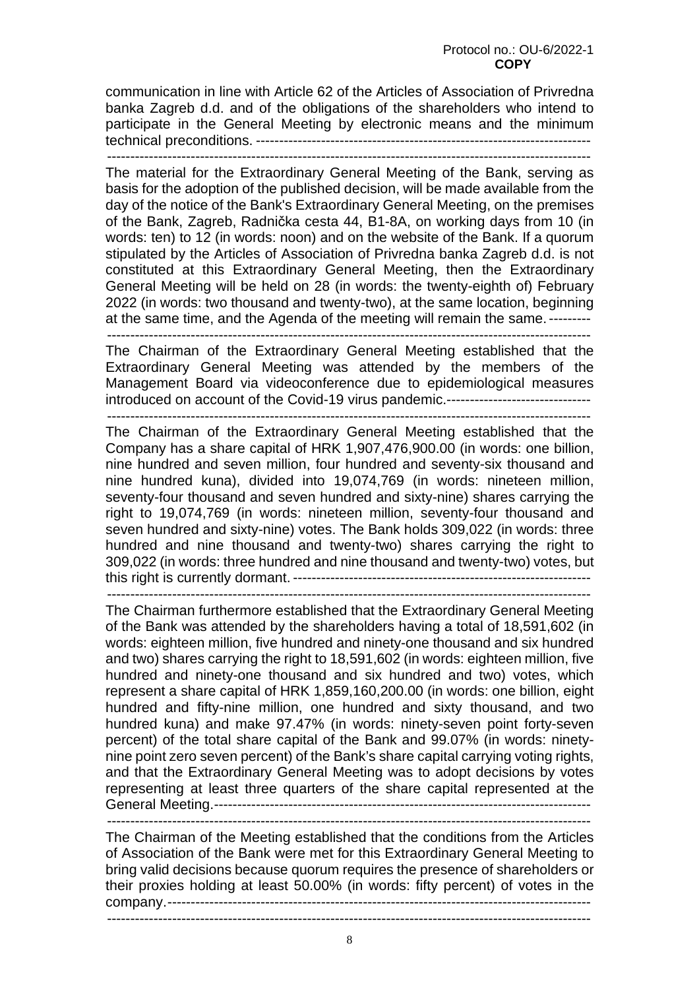communication in line with Article 62 of the Articles of Association of Privredna banka Zagreb d.d. and of the obligations of the shareholders who intend to participate in the General Meeting by electronic means and the minimum technical preconditions. ------------------------------------------------------------------------

--------------------------------------------------------------------------------------------------------

The material for the Extraordinary General Meeting of the Bank, serving as basis for the adoption of the published decision, will be made available from the day of the notice of the Bank's Extraordinary General Meeting, on the premises of the Bank, Zagreb, Radnička cesta 44, B1-8A, on working days from 10 (in words: ten) to 12 (in words: noon) and on the website of the Bank. If a quorum stipulated by the Articles of Association of Privredna banka Zagreb d.d. is not constituted at this Extraordinary General Meeting, then the Extraordinary General Meeting will be held on 28 (in words: the twenty-eighth of) February 2022 (in words: two thousand and twenty-two), at the same location, beginning at the same time, and the Agenda of the meeting will remain the same. ---------

--------------------------------------------------------------------------------------------------------

The Chairman of the Extraordinary General Meeting established that the Extraordinary General Meeting was attended by the members of the Management Board via videoconference due to epidemiological measures introduced on account of the Covid-19 virus pandemic.-------------------------------

--------------------------------------------------------------------------------------------------------

The Chairman of the Extraordinary General Meeting established that the Company has a share capital of HRK 1,907,476,900.00 (in words: one billion, nine hundred and seven million, four hundred and seventy-six thousand and nine hundred kuna), divided into 19,074,769 (in words: nineteen million, seventy-four thousand and seven hundred and sixty-nine) shares carrying the right to 19,074,769 (in words: nineteen million, seventy-four thousand and seven hundred and sixty-nine) votes. The Bank holds 309,022 (in words: three hundred and nine thousand and twenty-two) shares carrying the right to 309,022 (in words: three hundred and nine thousand and twenty-two) votes, but this right is currently dormant. ----------------------------------------------------------------

--------------------------------------------------------------------------------------------------------

The Chairman furthermore established that the Extraordinary General Meeting of the Bank was attended by the shareholders having a total of 18,591,602 (in words: eighteen million, five hundred and ninety-one thousand and six hundred and two) shares carrying the right to 18,591,602 (in words: eighteen million, five hundred and ninety-one thousand and six hundred and two) votes, which represent a share capital of HRK 1,859,160,200.00 (in words: one billion, eight hundred and fifty-nine million, one hundred and sixty thousand, and two hundred kuna) and make 97.47% (in words: ninety-seven point forty-seven percent) of the total share capital of the Bank and 99.07% (in words: ninetynine point zero seven percent) of the Bank's share capital carrying voting rights, and that the Extraordinary General Meeting was to adopt decisions by votes representing at least three quarters of the share capital represented at the General Meeting. ---------------------------------------------------------------------------------

--------------------------------------------------------------------------------------------------------

The Chairman of the Meeting established that the conditions from the Articles of Association of the Bank were met for this Extraordinary General Meeting to bring valid decisions because quorum requires the presence of shareholders or their proxies holding at least 50.00% (in words: fifty percent) of votes in the company. -------------------------------------------------------------------------------------------

8

--------------------------------------------------------------------------------------------------------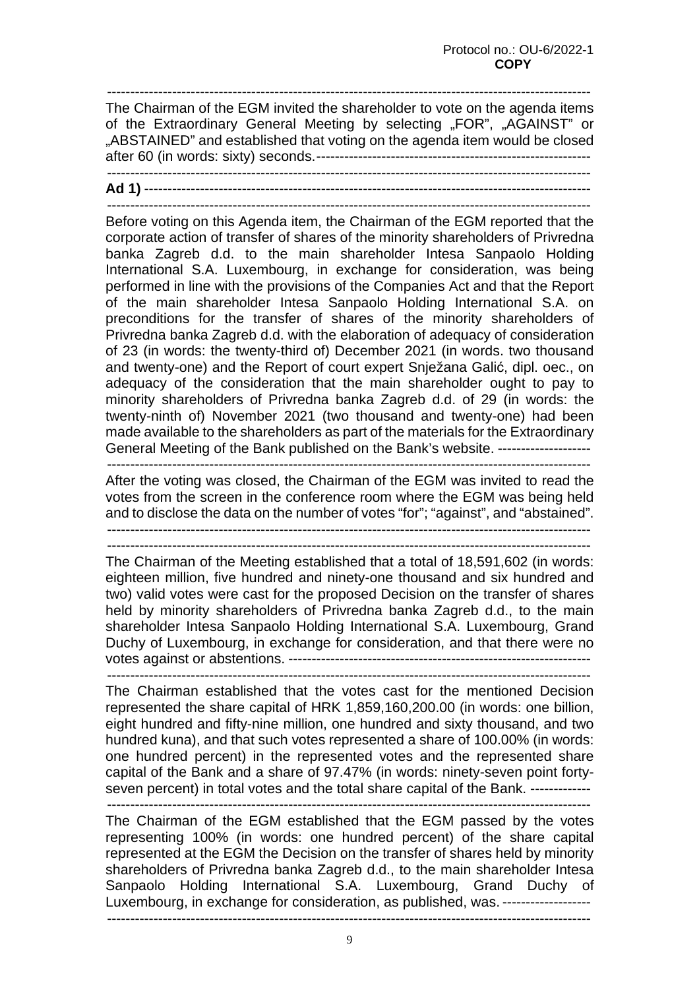-------------------------------------------------------------------------------------------------------- The Chairman of the EGM invited the shareholder to vote on the agenda items of the Extraordinary General Meeting by selecting "FOR", "AGAINST" or "ABSTAINED" and established that voting on the agenda item would be closed after 60 (in words: sixty) seconds. ----------------------------------------------------------- --------------------------------------------------------------------------------------------------------

**Ad 1)** ------------------------------------------------------------------------------------------------ --------------------------------------------------------------------------------------------------------

Before voting on this Agenda item, the Chairman of the EGM reported that the corporate action of transfer of shares of the minority shareholders of Privredna banka Zagreb d.d. to the main shareholder Intesa Sanpaolo Holding International S.A. Luxembourg, in exchange for consideration, was being performed in line with the provisions of the Companies Act and that the Report of the main shareholder Intesa Sanpaolo Holding International S.A. on preconditions for the transfer of shares of the minority shareholders of Privredna banka Zagreb d.d. with the elaboration of adequacy of consideration of 23 (in words: the twenty-third of) December 2021 (in words. two thousand and twenty-one) and the Report of court expert Snježana Galić, dipl. oec., on adequacy of the consideration that the main shareholder ought to pay to minority shareholders of Privredna banka Zagreb d.d. of 29 (in words: the twenty-ninth of) November 2021 (two thousand and twenty-one) had been made available to the shareholders as part of the materials for the Extraordinary General Meeting of the Bank published on the Bank's website. --------------------

--------------------------------------------------------------------------------------------------------

After the voting was closed, the Chairman of the EGM was invited to read the votes from the screen in the conference room where the EGM was being held and to disclose the data on the number of votes "for"; "against", and "abstained". --------------------------------------------------------------------------------------------------------

--------------------------------------------------------------------------------------------------------

The Chairman of the Meeting established that a total of 18,591,602 (in words: eighteen million, five hundred and ninety-one thousand and six hundred and two) valid votes were cast for the proposed Decision on the transfer of shares held by minority shareholders of Privredna banka Zagreb d.d., to the main shareholder Intesa Sanpaolo Holding International S.A. Luxembourg, Grand Duchy of Luxembourg, in exchange for consideration, and that there were no votes against or abstentions. -----------------------------------------------------------------

--------------------------------------------------------------------------------------------------------

The Chairman established that the votes cast for the mentioned Decision represented the share capital of HRK 1,859,160,200.00 (in words: one billion, eight hundred and fifty-nine million, one hundred and sixty thousand, and two hundred kuna), and that such votes represented a share of 100.00% (in words: one hundred percent) in the represented votes and the represented share capital of the Bank and a share of 97.47% (in words: ninety-seven point fortyseven percent) in total votes and the total share capital of the Bank. ---------------------------------------------------------------------------------------------------------------------

The Chairman of the EGM established that the EGM passed by the votes representing 100% (in words: one hundred percent) of the share capital represented at the EGM the Decision on the transfer of shares held by minority shareholders of Privredna banka Zagreb d.d., to the main shareholder Intesa Sanpaolo Holding International S.A. Luxembourg, Grand Duchy of Luxembourg, in exchange for consideration, as published, was. -------------------

--------------------------------------------------------------------------------------------------------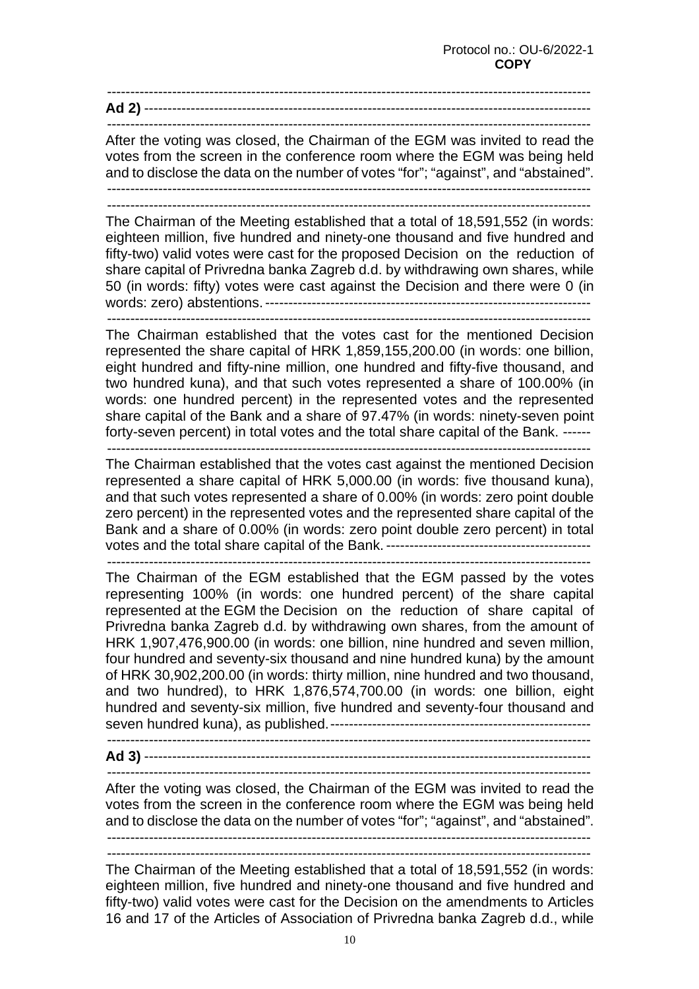-------------------------------------------------------------------------------------------------------- **Ad 2)** ------------------------------------------------------------------------------------------------

--------------------------------------------------------------------------------------------------------

After the voting was closed, the Chairman of the EGM was invited to read the votes from the screen in the conference room where the EGM was being held and to disclose the data on the number of votes "for"; "against", and "abstained". --------------------------------------------------------------------------------------------------------

--------------------------------------------------------------------------------------------------------

The Chairman of the Meeting established that a total of 18,591,552 (in words: eighteen million, five hundred and ninety-one thousand and five hundred and fifty-two) valid votes were cast for the proposed Decision on the reduction of share capital of Privredna banka Zagreb d.d. by withdrawing own shares, while 50 (in words: fifty) votes were cast against the Decision and there were 0 (in words: zero) abstentions. ----------------------------------------------------------------------

--------------------------------------------------------------------------------------------------------

The Chairman established that the votes cast for the mentioned Decision represented the share capital of HRK 1,859,155,200.00 (in words: one billion, eight hundred and fifty-nine million, one hundred and fifty-five thousand, and two hundred kuna), and that such votes represented a share of 100.00% (in words: one hundred percent) in the represented votes and the represented share capital of the Bank and a share of 97.47% (in words: ninety-seven point forty-seven percent) in total votes and the total share capital of the Bank. ------

--------------------------------------------------------------------------------------------------------

The Chairman established that the votes cast against the mentioned Decision represented a share capital of HRK 5,000.00 (in words: five thousand kuna), and that such votes represented a share of 0.00% (in words: zero point double zero percent) in the represented votes and the represented share capital of the Bank and a share of 0.00% (in words: zero point double zero percent) in total votes and the total share capital of the Bank. --------------------------------------------

--------------------------------------------------------------------------------------------------------

The Chairman of the EGM established that the EGM passed by the votes representing 100% (in words: one hundred percent) of the share capital represented at the EGM the Decision on the reduction of share capital of Privredna banka Zagreb d.d. by withdrawing own shares, from the amount of HRK 1,907,476,900.00 (in words: one billion, nine hundred and seven million, four hundred and seventy-six thousand and nine hundred kuna) by the amount of HRK 30,902,200.00 (in words: thirty million, nine hundred and two thousand, and two hundred), to HRK 1,876,574,700.00 (in words: one billion, eight hundred and seventy-six million, five hundred and seventy-four thousand and seven hundred kuna), as published. -------------------------------------------------------- --------------------------------------------------------------------------------------------------------

**Ad 3)** ------------------------------------------------------------------------------------------------

--------------------------------------------------------------------------------------------------------

After the voting was closed, the Chairman of the EGM was invited to read the votes from the screen in the conference room where the EGM was being held and to disclose the data on the number of votes "for"; "against", and "abstained". --------------------------------------------------------------------------------------------------------

--------------------------------------------------------------------------------------------------------

The Chairman of the Meeting established that a total of 18,591,552 (in words: eighteen million, five hundred and ninety-one thousand and five hundred and fifty-two) valid votes were cast for the Decision on the amendments to Articles 16 and 17 of the Articles of Association of Privredna banka Zagreb d.d., while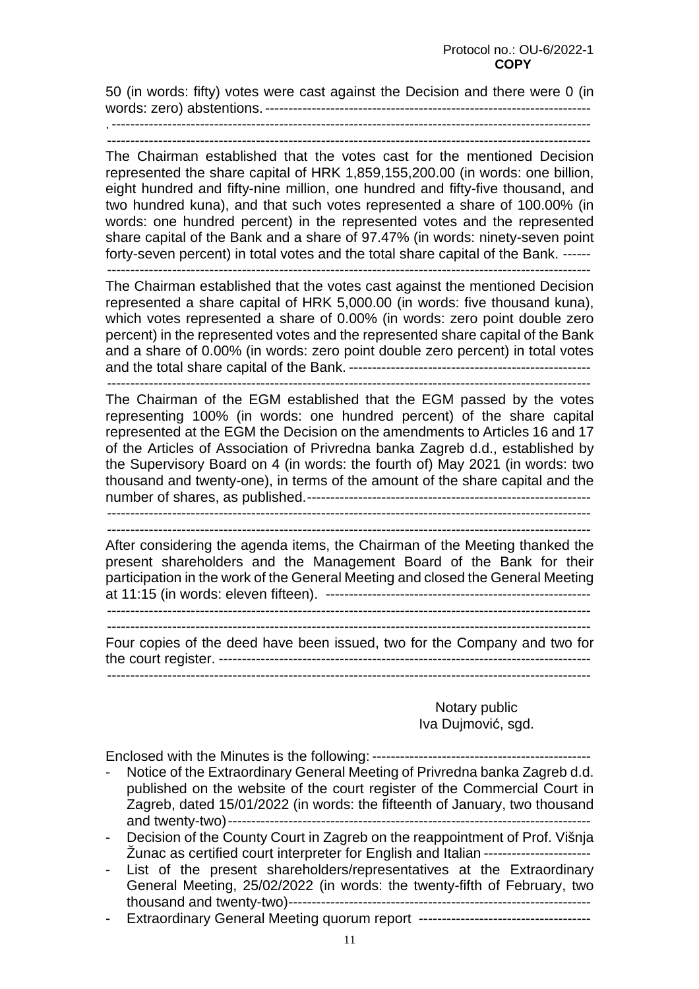50 (in words: fifty) votes were cast against the Decision and there were 0 (in words: zero) abstentions. ----------------------------------------------------------------------

. ------------------------------------------------------------------------------------------------------- --------------------------------------------------------------------------------------------------------

The Chairman established that the votes cast for the mentioned Decision represented the share capital of HRK 1,859,155,200.00 (in words: one billion, eight hundred and fifty-nine million, one hundred and fifty-five thousand, and two hundred kuna), and that such votes represented a share of 100.00% (in words: one hundred percent) in the represented votes and the represented share capital of the Bank and a share of 97.47% (in words: ninety-seven point forty-seven percent) in total votes and the total share capital of the Bank. ------

--------------------------------------------------------------------------------------------------------

The Chairman established that the votes cast against the mentioned Decision represented a share capital of HRK 5,000.00 (in words: five thousand kuna), which votes represented a share of 0.00% (in words: zero point double zero percent) in the represented votes and the represented share capital of the Bank and a share of 0.00% (in words: zero point double zero percent) in total votes and the total share capital of the Bank. ---------------------------------------------------- --------------------------------------------------------------------------------------------------------

The Chairman of the EGM established that the EGM passed by the votes representing 100% (in words: one hundred percent) of the share capital represented at the EGM the Decision on the amendments to Articles 16 and 17 of the Articles of Association of Privredna banka Zagreb d.d., established by the Supervisory Board on 4 (in words: the fourth of) May 2021 (in words: two thousand and twenty-one), in terms of the amount of the share capital and the number of shares, as published. ------------------------------------------------------------- --------------------------------------------------------------------------------------------------------

--------------------------------------------------------------------------------------------------------

After considering the agenda items, the Chairman of the Meeting thanked the present shareholders and the Management Board of the Bank for their participation in the work of the General Meeting and closed the General Meeting at 11:15 (in words: eleven fifteen). ---------------------------------------------------------

 -------------------------------------------------------------------------------------------------------- --------------------------------------------------------------------------------------------------------

Four copies of the deed have been issued, two for the Company and two for the court register. -------------------------------------------------------------------------------- --------------------------------------------------------------------------------------------------------

## Notary public Iva Dujmović, sgd.

Enclosed with the Minutes is the following: -----------------------------------------------

- Notice of the Extraordinary General Meeting of Privredna banka Zagreb d.d. published on the website of the court register of the Commercial Court in Zagreb, dated 15/01/2022 (in words: the fifteenth of January, two thousand and twenty-two) ------------------------------------------------------------------------------
- Decision of the County Court in Zagreb on the reappointment of Prof. Višnja Žunac as certified court interpreter for English and Italian -----------------------
- List of the present shareholders/representatives at the Extraordinary General Meeting, 25/02/2022 (in words: the twenty-fifth of February, two thousand and twenty-two) -----------------------------------------------------------------
- Extraordinary General Meeting quorum report -----------------------------------